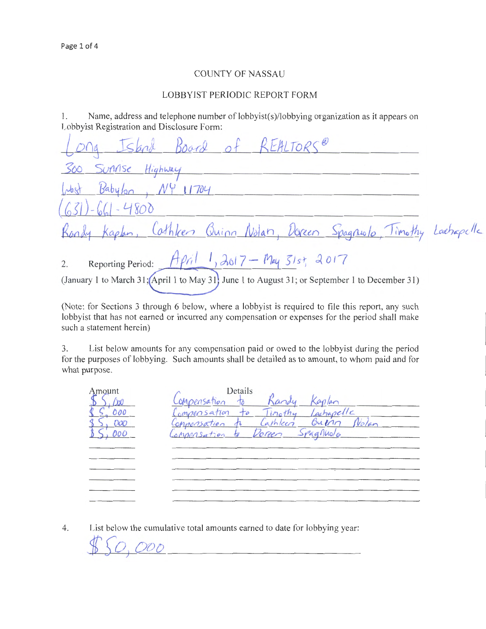## COUNTY OF NASSAU

## LOBBYIST PERIODIC REPORT FORM

1. Name, address and telephone number of lobbyist(s)/lobbying organization as it appears on Lobbyist Registration and Disclosure Form:

| 20g Island Board of REALTORS@                                                                                                                               |  |
|-------------------------------------------------------------------------------------------------------------------------------------------------------------|--|
| 300 Sunnse Highway                                                                                                                                          |  |
| West Babylon, NY 11704<br>$(631) - 661 - 4800$                                                                                                              |  |
| Rondy Kaplen, Cathleen Quinn Nolan, Dopeen Spagnuolo, Timothy Lachapelle                                                                                    |  |
| Reporting Period: $A\phi\eta$ 1, 2017 - May $51st$ , 2017<br>(January 1 to March 31; April 1 to May 31) June 1 to August 31; or September 1 to December 31) |  |

(Note: for Sections 3 through 6 below, where a lobbyist is required to file this report, any such lobbyist that has not earned or incurred any compensation or expenses for the period shall make such a statement herein)

3. List below amounts for any compensation paid or owed to the lobbyist during the period for the purposes of lobbying. Such amounts shall be detailed as to amount, to whom paid and for what purpose.

| Amount            | Details<br>ompensation to                                                                                                |
|-------------------|--------------------------------------------------------------------------------------------------------------------------|
| 000<br>000<br>000 | Timothy Lachapelle<br>Compensation<br>to<br>Outrin Notan<br>Cathleen<br>Compensation<br>Doreen Spagnuolo<br>Compensation |
|                   |                                                                                                                          |
|                   |                                                                                                                          |
|                   |                                                                                                                          |

4. List below the cumulative total amounts earned to date for lobbying year:

,<(t£o) *ooo*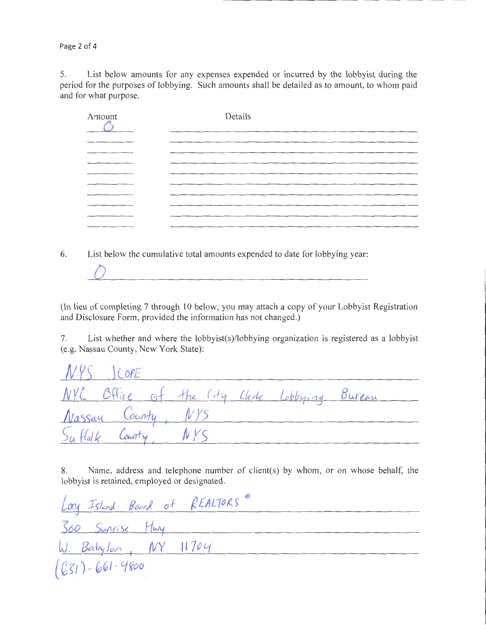Page 2 of 4

5. List below amounts for any expenses expended or incurred by the lobbyist during the period for the purposes of lobbying. Such amounts shall be detailed as to amount, to whom paid and for what purpose.

| Amount | Details |
|--------|---------|
|        |         |
|        |         |
| ______ |         |
|        |         |
|        |         |
|        |         |
|        |         |
|        |         |

6. List below the cumulative total amounts expended to date for lobbying year:

(In lieu of completing 7 through 10 below, you may attach a copy of your Lobbyist Registration and Disclosure Form, provided the information has not changed.)

7. List whether and where the lobbyist(s)/lobbying organization is registered as a lobbyist (e.g. Nassau County, New York State):

| $NYS$ ICOPE        |  |  |                                              |  |
|--------------------|--|--|----------------------------------------------|--|
|                    |  |  | NYC Office of the City Clerk Lobbying Bureau |  |
| Nassay County, NYS |  |  |                                              |  |
| Suffolk County     |  |  |                                              |  |

8. Name, address and telephone number of client(s) by whom, or on whose behalf, the lobbyist is retained, employed or designated.

| Long Island Board of REALTORS |  |  |
|-------------------------------|--|--|
| Soo Sunrise Huy               |  |  |
| $W.$ Babylon, $NY$ 11704      |  |  |
| $(631) - 661 - 4800$          |  |  |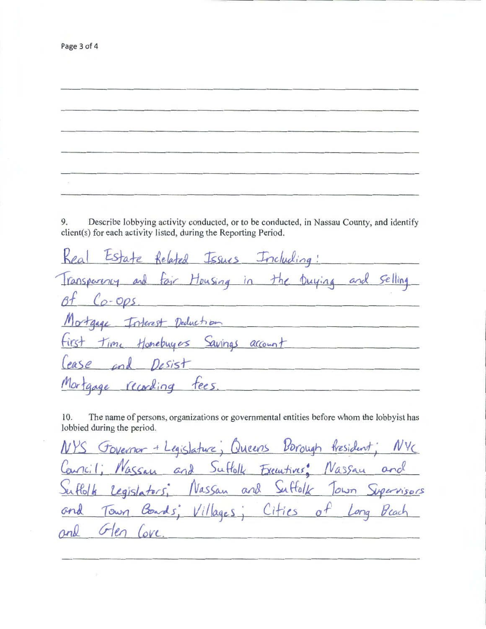9. Describe lobbying activity conducted, or to be conducted, in Nassau County, and identify client(s) for each activity listed, during the Reporting Period.

The name of persons, organizations or governmental entities before whom the lobbyist has 10. lobbied during the period.

Governor + Legislature; Queens Borough fresident; NVC and Suffolk Executives: Nassau and  $arci!$   $Naccu$ Vassan and Suffolk Town Supervisors  $61k$ Legislators Villages; Cities of Goads. Long Beach Town ĞН  $\sigma$ len Love. rnk